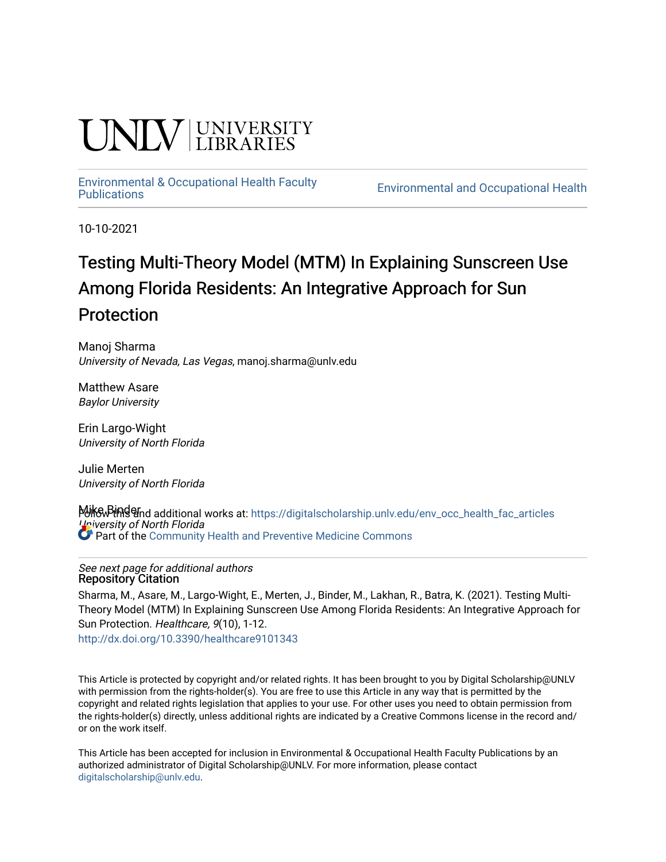# I INIV UNIVERSITY

# [Environmental & Occupational Health Faculty](https://digitalscholarship.unlv.edu/env_occ_health_fac_articles)

**Environmental and Occupational Health** 

10-10-2021

## Testing Multi-Theory Model (MTM) In Explaining Sunscreen Use Among Florida Residents: An Integrative Approach for Sun Protection

Manoj Sharma University of Nevada, Las Vegas, manoj.sharma@unlv.edu

Matthew Asare Baylor University

Erin Largo-Wight University of North Florida

Julie Merten University of North Florida

Mike Pindernd additional works at: https://digitalscholarship.unlv.edu/env\_occ\_health\_fac\_articles University of North Florida **Part of the [Community Health and Preventive Medicine Commons](http://network.bepress.com/hgg/discipline/744?utm_source=digitalscholarship.unlv.edu%2Fenv_occ_health_fac_articles%2F689&utm_medium=PDF&utm_campaign=PDFCoverPages)** 

#### See next page for additional authors Repository Citation

Sharma, M., Asare, M., Largo-Wight, E., Merten, J., Binder, M., Lakhan, R., Batra, K. (2021). Testing Multi-Theory Model (MTM) In Explaining Sunscreen Use Among Florida Residents: An Integrative Approach for Sun Protection. Healthcare, 9(10), 1-12.

<http://dx.doi.org/10.3390/healthcare9101343>

This Article is protected by copyright and/or related rights. It has been brought to you by Digital Scholarship@UNLV with permission from the rights-holder(s). You are free to use this Article in any way that is permitted by the copyright and related rights legislation that applies to your use. For other uses you need to obtain permission from the rights-holder(s) directly, unless additional rights are indicated by a Creative Commons license in the record and/ or on the work itself.

This Article has been accepted for inclusion in Environmental & Occupational Health Faculty Publications by an authorized administrator of Digital Scholarship@UNLV. For more information, please contact [digitalscholarship@unlv.edu](mailto:digitalscholarship@unlv.edu).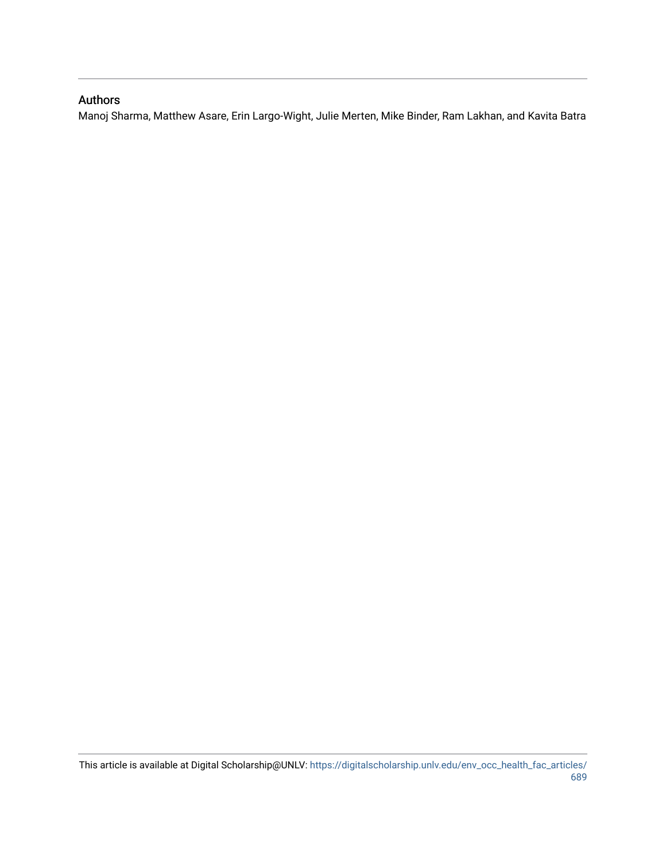#### Authors

Manoj Sharma, Matthew Asare, Erin Largo-Wight, Julie Merten, Mike Binder, Ram Lakhan, and Kavita Batra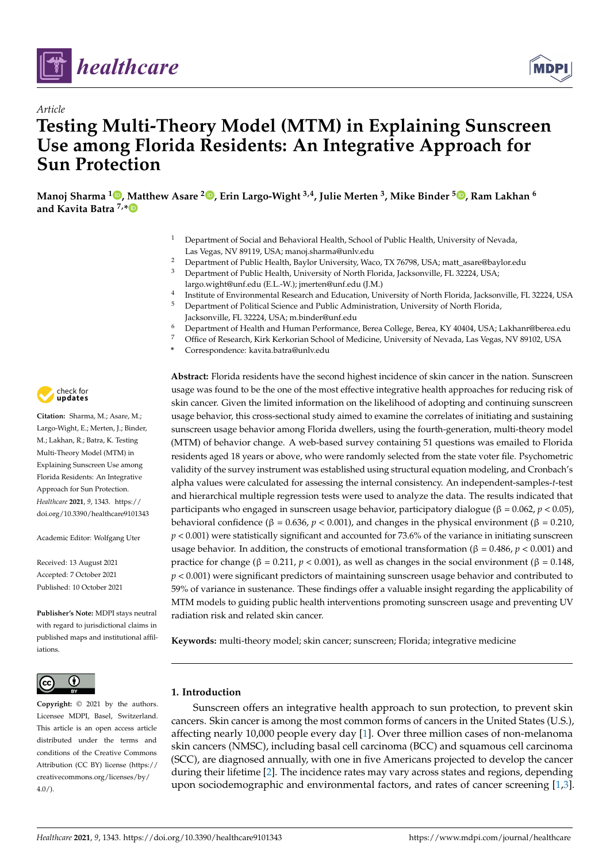

*Article*



### **Testing Multi-Theory Model (MTM) in Explaining Sunscreen Use among Florida Residents: An Integrative Approach for Sun Protection**

**Manoj Sharma <sup>1</sup> [,](https://orcid.org/0000-0002-4624-2414) Matthew Asare <sup>2</sup> [,](https://orcid.org/0000-0002-6831-3586) Erin Largo-Wight 3,4, Julie Merten <sup>3</sup> , Mike Binder <sup>5</sup> [,](https://orcid.org/0000-0001-8094-7701) Ram Lakhan <sup>6</sup> and Kavita Batra 7,[\\*](https://orcid.org/0000-0002-0722-0191)**

- <sup>1</sup> Department of Social and Behavioral Health, School of Public Health, University of Nevada, Las Vegas, NV 89119, USA; manoj.sharma@unlv.edu
- <sup>2</sup> Department of Public Health, Baylor University, Waco, TX 76798, USA; matt\_asare@baylor.edu
- <sup>3</sup> Department of Public Health, University of North Florida, Jacksonville, FL 32224, USA; largo.wight@unf.edu (E.L.-W.); jmerten@unf.edu (J.M.)
- 4 Institute of Environmental Research and Education, University of North Florida, Jacksonville, FL 32224, USA
- <sup>5</sup> Department of Political Science and Public Administration, University of North Florida, Jacksonville, FL 32224, USA; m.binder@unf.edu
- <sup>6</sup> Department of Health and Human Performance, Berea College, Berea, KY 40404, USA; Lakhanr@berea.edu
	- <sup>7</sup> Office of Research, Kirk Kerkorian School of Medicine, University of Nevada, Las Vegas, NV 89102, USA
	- **\*** Correspondence: kavita.batra@unlv.edu

check for **-**

**Citation:** Sharma, M.; Asare, M.; Largo-Wight, E.; Merten, J.; Binder, M.; Lakhan, R.; Batra, K. Testing Multi-Theory Model (MTM) in Explaining Sunscreen Use among Florida Residents: An Integrative Approach for Sun Protection. *Healthcare* **2021**, *9*, 1343. [https://](https://doi.org/10.3390/healthcare9101343) [doi.org/10.3390/healthcare9101343](https://doi.org/10.3390/healthcare9101343)

Academic Editor: Wolfgang Uter

Received: 13 August 2021 Accepted: 7 October 2021 Published: 10 October 2021

**Publisher's Note:** MDPI stays neutral with regard to jurisdictional claims in published maps and institutional affiliations.



**Copyright:** © 2021 by the authors. Licensee MDPI, Basel, Switzerland. This article is an open access article distributed under the terms and conditions of the Creative Commons Attribution (CC BY) license (https:/[/](https://creativecommons.org/licenses/by/4.0/) [creativecommons.org/licenses/by/](https://creativecommons.org/licenses/by/4.0/)  $4.0/$ ).

**Abstract:** Florida residents have the second highest incidence of skin cancer in the nation. Sunscreen usage was found to be the one of the most effective integrative health approaches for reducing risk of skin cancer. Given the limited information on the likelihood of adopting and continuing sunscreen usage behavior, this cross-sectional study aimed to examine the correlates of initiating and sustaining sunscreen usage behavior among Florida dwellers, using the fourth-generation, multi-theory model (MTM) of behavior change. A web-based survey containing 51 questions was emailed to Florida residents aged 18 years or above, who were randomly selected from the state voter file. Psychometric validity of the survey instrument was established using structural equation modeling, and Cronbach's alpha values were calculated for assessing the internal consistency. An independent-samples-*t*-test and hierarchical multiple regression tests were used to analyze the data. The results indicated that participants who engaged in sunscreen usage behavior, participatory dialogue (β = 0.062, *p* < 0.05), behavioral confidence (β = 0.636, *p* < 0.001), and changes in the physical environment (β = 0.210,  $p < 0.001$ ) were statistically significant and accounted for 73.6% of the variance in initiating sunscreen usage behavior. In addition, the constructs of emotional transformation (β = 0.486,  $p$  < 0.001) and practice for change (β = 0.211, *p* < 0.001), as well as changes in the social environment (β = 0.148,  $p < 0.001$ ) were significant predictors of maintaining sunscreen usage behavior and contributed to 59% of variance in sustenance. These findings offer a valuable insight regarding the applicability of MTM models to guiding public health interventions promoting sunscreen usage and preventing UV radiation risk and related skin cancer.

**Keywords:** multi-theory model; skin cancer; sunscreen; Florida; integrative medicine

#### **1. Introduction**

Sunscreen offers an integrative health approach to sun protection, to prevent skin cancers. Skin cancer is among the most common forms of cancers in the United States (U.S.), affecting nearly 10,000 people every day [\[1\]](#page-12-0). Over three million cases of non-melanoma skin cancers (NMSC), including basal cell carcinoma (BCC) and squamous cell carcinoma (SCC), are diagnosed annually, with one in five Americans projected to develop the cancer during their lifetime [\[2\]](#page-12-1). The incidence rates may vary across states and regions, depending upon sociodemographic and environmental factors, and rates of cancer screening [\[1,](#page-12-0)[3\]](#page-12-2).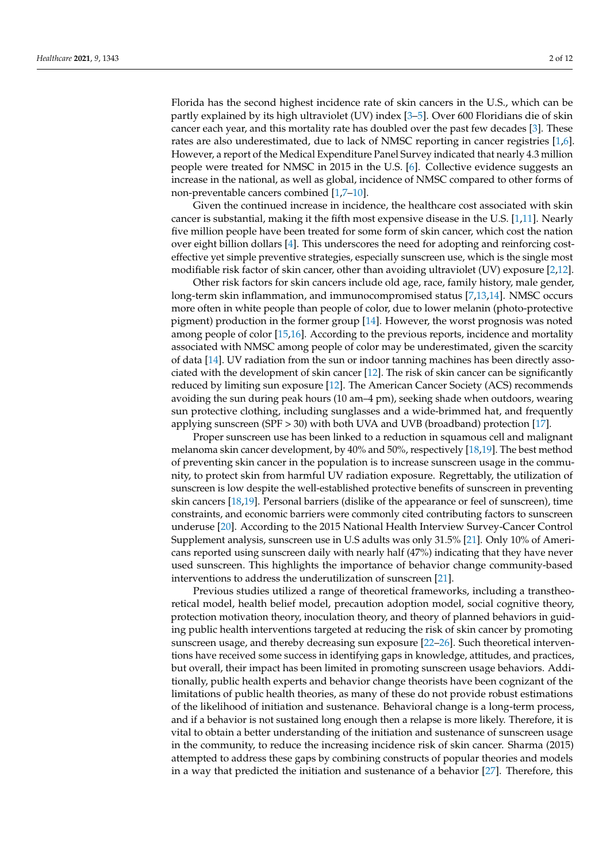Florida has the second highest incidence rate of skin cancers in the U.S., which can be partly explained by its high ultraviolet (UV) index [\[3–](#page-12-2)[5\]](#page-12-3). Over 600 Floridians die of skin cancer each year, and this mortality rate has doubled over the past few decades [\[3\]](#page-12-2). These rates are also underestimated, due to lack of NMSC reporting in cancer registries [\[1,](#page-12-0)[6\]](#page-12-4). However, a report of the Medical Expenditure Panel Survey indicated that nearly 4.3 million people were treated for NMSC in 2015 in the U.S. [\[6\]](#page-12-4). Collective evidence suggests an increase in the national, as well as global, incidence of NMSC compared to other forms of non-preventable cancers combined [\[1](#page-12-0)[,7](#page-12-5)[–10\]](#page-12-6).

Given the continued increase in incidence, the healthcare cost associated with skin cancer is substantial, making it the fifth most expensive disease in the U.S. [\[1](#page-12-0)[,11\]](#page-12-7). Nearly five million people have been treated for some form of skin cancer, which cost the nation over eight billion dollars [\[4\]](#page-12-8). This underscores the need for adopting and reinforcing costeffective yet simple preventive strategies, especially sunscreen use, which is the single most modifiable risk factor of skin cancer, other than avoiding ultraviolet (UV) exposure [\[2,](#page-12-1)[12\]](#page-12-9).

Other risk factors for skin cancers include old age, race, family history, male gender, long-term skin inflammation, and immunocompromised status [\[7](#page-12-5)[,13,](#page-12-10)[14\]](#page-12-11). NMSC occurs more often in white people than people of color, due to lower melanin (photo-protective pigment) production in the former group [\[14\]](#page-12-11). However, the worst prognosis was noted among people of color [\[15](#page-12-12)[,16\]](#page-12-13). According to the previous reports, incidence and mortality associated with NMSC among people of color may be underestimated, given the scarcity of data [\[14\]](#page-12-11). UV radiation from the sun or indoor tanning machines has been directly associated with the development of skin cancer [\[12\]](#page-12-9). The risk of skin cancer can be significantly reduced by limiting sun exposure [\[12\]](#page-12-9). The American Cancer Society (ACS) recommends avoiding the sun during peak hours (10 am–4 pm), seeking shade when outdoors, wearing sun protective clothing, including sunglasses and a wide-brimmed hat, and frequently applying sunscreen (SPF > 30) with both UVA and UVB (broadband) protection [\[17\]](#page-12-14).

Proper sunscreen use has been linked to a reduction in squamous cell and malignant melanoma skin cancer development, by 40% and 50%, respectively [\[18,](#page-12-15)[19\]](#page-12-16). The best method of preventing skin cancer in the population is to increase sunscreen usage in the community, to protect skin from harmful UV radiation exposure. Regrettably, the utilization of sunscreen is low despite the well-established protective benefits of sunscreen in preventing skin cancers [\[18](#page-12-15)[,19\]](#page-12-16). Personal barriers (dislike of the appearance or feel of sunscreen), time constraints, and economic barriers were commonly cited contributing factors to sunscreen underuse [\[20\]](#page-12-17). According to the 2015 National Health Interview Survey-Cancer Control Supplement analysis, sunscreen use in U.S adults was only 31.5% [\[21\]](#page-12-18). Only 10% of Americans reported using sunscreen daily with nearly half (47%) indicating that they have never used sunscreen. This highlights the importance of behavior change community-based interventions to address the underutilization of sunscreen [\[21\]](#page-12-18).

Previous studies utilized a range of theoretical frameworks, including a transtheoretical model, health belief model, precaution adoption model, social cognitive theory, protection motivation theory, inoculation theory, and theory of planned behaviors in guiding public health interventions targeted at reducing the risk of skin cancer by promoting sunscreen usage, and thereby decreasing sun exposure [\[22–](#page-12-19)[26\]](#page-13-0). Such theoretical interventions have received some success in identifying gaps in knowledge, attitudes, and practices, but overall, their impact has been limited in promoting sunscreen usage behaviors. Additionally, public health experts and behavior change theorists have been cognizant of the limitations of public health theories, as many of these do not provide robust estimations of the likelihood of initiation and sustenance. Behavioral change is a long-term process, and if a behavior is not sustained long enough then a relapse is more likely. Therefore, it is vital to obtain a better understanding of the initiation and sustenance of sunscreen usage in the community, to reduce the increasing incidence risk of skin cancer. Sharma (2015) attempted to address these gaps by combining constructs of popular theories and models in a way that predicted the initiation and sustenance of a behavior [\[27\]](#page-13-1). Therefore, this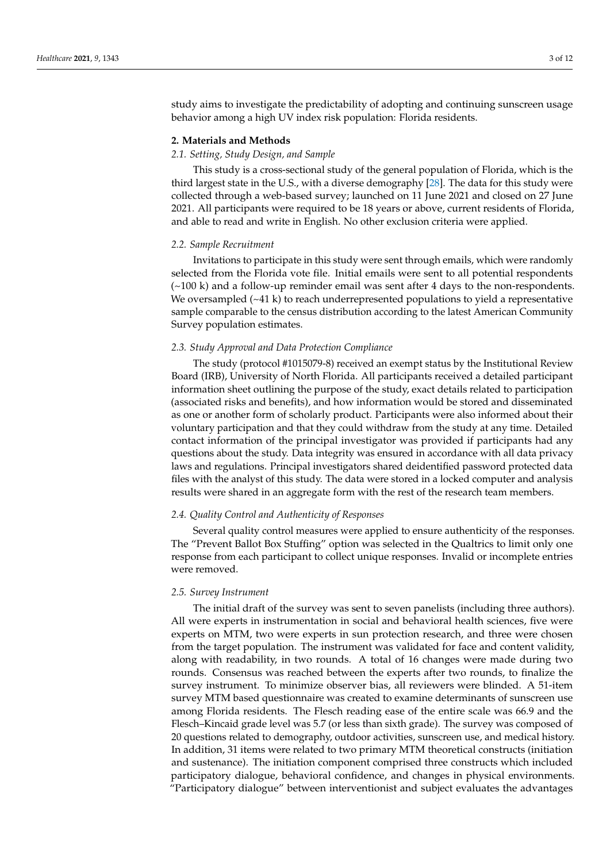study aims to investigate the predictability of adopting and continuing sunscreen usage behavior among a high UV index risk population: Florida residents.

#### **2. Materials and Methods**

#### *2.1. Setting, Study Design, and Sample*

This study is a cross-sectional study of the general population of Florida, which is the third largest state in the U.S., with a diverse demography [\[28\]](#page-13-2). The data for this study were collected through a web-based survey; launched on 11 June 2021 and closed on 27 June 2021. All participants were required to be 18 years or above, current residents of Florida, and able to read and write in English. No other exclusion criteria were applied.

#### *2.2. Sample Recruitment*

Invitations to participate in this study were sent through emails, which were randomly selected from the Florida vote file. Initial emails were sent to all potential respondents  $(\sim 100 \text{ k})$  and a follow-up reminder email was sent after 4 days to the non-respondents. We oversampled  $(-41 \text{ k})$  to reach underrepresented populations to yield a representative sample comparable to the census distribution according to the latest American Community Survey population estimates.

#### *2.3. Study Approval and Data Protection Compliance*

The study (protocol #1015079-8) received an exempt status by the Institutional Review Board (IRB), University of North Florida. All participants received a detailed participant information sheet outlining the purpose of the study, exact details related to participation (associated risks and benefits), and how information would be stored and disseminated as one or another form of scholarly product. Participants were also informed about their voluntary participation and that they could withdraw from the study at any time. Detailed contact information of the principal investigator was provided if participants had any questions about the study. Data integrity was ensured in accordance with all data privacy laws and regulations. Principal investigators shared deidentified password protected data files with the analyst of this study. The data were stored in a locked computer and analysis results were shared in an aggregate form with the rest of the research team members.

#### *2.4. Quality Control and Authenticity of Responses*

Several quality control measures were applied to ensure authenticity of the responses. The "Prevent Ballot Box Stuffing" option was selected in the Qualtrics to limit only one response from each participant to collect unique responses. Invalid or incomplete entries were removed.

#### *2.5. Survey Instrument*

The initial draft of the survey was sent to seven panelists (including three authors). All were experts in instrumentation in social and behavioral health sciences, five were experts on MTM, two were experts in sun protection research, and three were chosen from the target population. The instrument was validated for face and content validity, along with readability, in two rounds. A total of 16 changes were made during two rounds. Consensus was reached between the experts after two rounds, to finalize the survey instrument. To minimize observer bias, all reviewers were blinded. A 51-item survey MTM based questionnaire was created to examine determinants of sunscreen use among Florida residents. The Flesch reading ease of the entire scale was 66.9 and the Flesch–Kincaid grade level was 5.7 (or less than sixth grade). The survey was composed of 20 questions related to demography, outdoor activities, sunscreen use, and medical history. In addition, 31 items were related to two primary MTM theoretical constructs (initiation and sustenance). The initiation component comprised three constructs which included participatory dialogue, behavioral confidence, and changes in physical environments. "Participatory dialogue" between interventionist and subject evaluates the advantages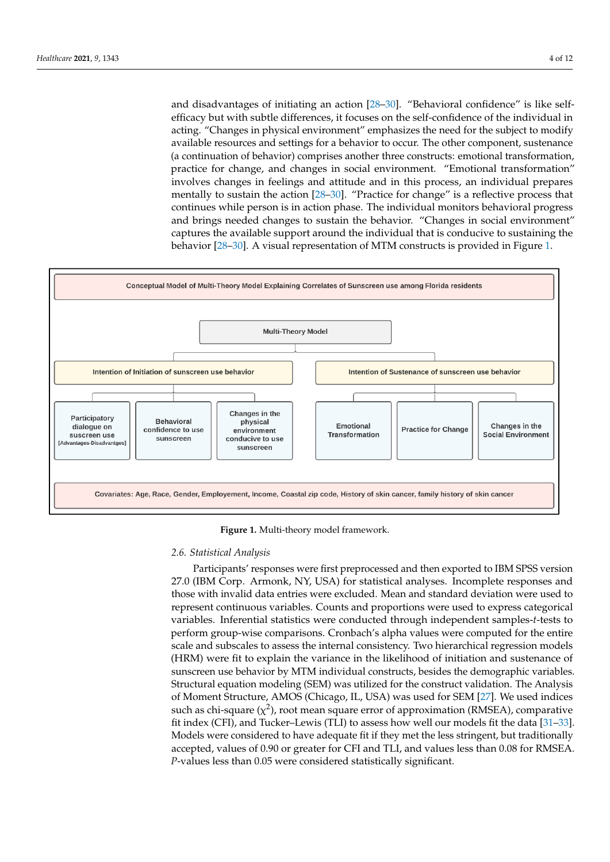and disadvantages of initiating an action  $[28-30]$  $[28-30]$ . "Behavioral confidence" is like selfefficacy but with subtle differences, it focuses on the self-confidence of the individual in efficacy but with subtle differences, it focuses on the self-confidence of the individual in acting. "Changes in physical environment" emphasizes the need for the subject to modify available resources and settings for a behavior to occur. The other component, sustenance (a continuation of behavior) comprises another three constructs: emotional transformation, practice for change, and changes in social environment. "Emotional transformation" practice for change, and changes in social environment. "Emotional transformation" ininvolves changes in feelings and attitude and in this process, an individual prepares mentally to sustain the action  $[28-30]$  $[28-30]$ . "Practice for change" is a reflective process that continues while person is in action phase. The individual monitors behavioral progress and brings needed changes to sustain the behavior. "Changes in social environment" captures the available support around the individual that is conducive to sustaining the behavior [\[28–](#page-13-2)[30\]](#page-13-3). A visual representation of MTM constructs is provided in Figure [1.](#page-5-0) [28–30]. A visual representation of MTM constructs is provided in Figure 1.

<span id="page-5-0"></span>

**Figure 1.** Multi-theory model framework. **Figure 1.** Multi-theory model framework.

#### *2.6. Statistical Analysis 2.6. Statistical Analysis*

Participants' responses were first preprocessed and then exported to IBM SPSS version 27.0 (IBM Corp. Armonk, NY, USA) for statistical analyses. Incomplete responses and those with invalid data entries were excluded. Mean and standard deviation were used to 27.0 (IBM Corp. Armonk, NY, USA) for statistical analyses. Incomplete responses and those with invalid data entries were excluded. Mean and standard deviation were used to represent continuous variables. Counts and proport variables. Inferential statistics were conducted through independent samples-*t*-tests to variables. Inferential statistics were conducted through independent samples-*t*-tests to perform group-wise comparisons. Cronbach's alpha values were computed for the entire perform group-wise comparisons. Cronbach's alpha values were computed for the entire scale and subscales to assess the internal consistency. Two hierarchical regression models scale and subscales to assess the internal consistency. Two hierarchical regression models (HRM) were fit to explain the variance in the likelihood of initiation and sustenance of (HRM) were fit to explain the variance in the likelihood of initiation and sustenance of sunscreen use behavior by MTM individual constructs, besides the demographic variables. Structural equation modeling (SEM) was utilized for the construct validation. The Analysis of Moment Structure, AMOS (Chicago, IL, USA) was used for SEM [\[27\]](#page-13-1). We used indices such as chi-square ( $\chi^2$ ), root mean square error of approximation (RMSEA), comparative fit index (CFI), and Tucker–Lewis (TLI) to assess how well our models fit the data [\[31](#page-13-4)[–33\]](#page-13-5). Models were considered to have adequate fit if they met the less stringent, but traditionally accepted, values of 0.90 or greater for CFI and TLI, and values less than 0.08 for RMSEA. *P*-values less than 0.05 were considered statistically significant.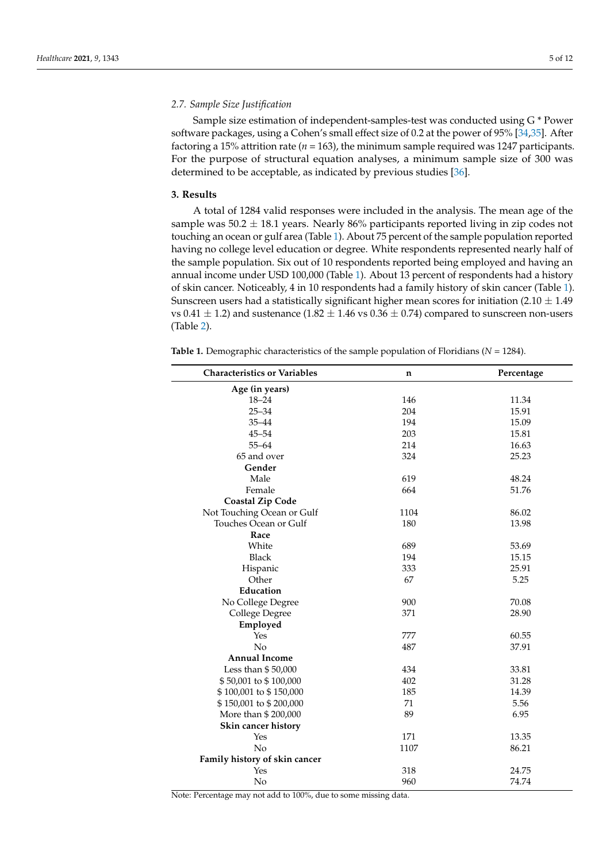#### *2.7. Sample Size Justification*

Sample size estimation of independent-samples-test was conducted using G \* Power software packages, using a Cohen's small effect size of 0.2 at the power of 95% [\[34](#page-13-6)[,35\]](#page-13-7). After factoring a 15% attrition rate ( $n = 163$ ), the minimum sample required was 1247 participants. For the purpose of structural equation analyses, a minimum sample size of 300 was determined to be acceptable, as indicated by previous studies [\[36\]](#page-13-8).

#### **3. Results**

A total of 1284 valid responses were included in the analysis. The mean age of the sample was  $50.2 \pm 18.1$  years. Nearly 86% participants reported living in zip codes not touching an ocean or gulf area (Table [1\)](#page-6-0). About 75 percent of the sample population reported having no college level education or degree. White respondents represented nearly half of the sample population. Six out of 10 respondents reported being employed and having an annual income under USD 100,000 (Table [1\)](#page-6-0). About 13 percent of respondents had a history of skin cancer. Noticeably, 4 in 10 respondents had a family history of skin cancer (Table [1\)](#page-6-0). Sunscreen users had a statistically significant higher mean scores for initiation (2.10  $\pm$  1.49 vs  $0.41 \pm 1.2$ ) and sustenance ( $1.82 \pm 1.46$  vs  $0.36 \pm 0.74$ ) compared to sunscreen non-users (Table [2\)](#page-7-0).

<span id="page-6-0"></span>**Table 1.** Demographic characteristics of the sample population of Floridians (*N* = 1284).

| <b>Characteristics or Variables</b> | n    | Percentage |
|-------------------------------------|------|------------|
| Age (in years)                      |      |            |
| $18 - 24$                           | 146  | 11.34      |
| $25 - 34$                           | 204  | 15.91      |
| $35 - 44$                           | 194  | 15.09      |
| $45 - 54$                           | 203  | 15.81      |
| $55 - 64$                           | 214  | 16.63      |
| 65 and over                         | 324  | 25.23      |
| Gender                              |      |            |
| Male                                | 619  | 48.24      |
| Female                              | 664  | 51.76      |
| <b>Coastal Zip Code</b>             |      |            |
| Not Touching Ocean or Gulf          | 1104 | 86.02      |
| Touches Ocean or Gulf               | 180  | 13.98      |
| Race                                |      |            |
| White                               | 689  | 53.69      |
| <b>Black</b>                        | 194  | 15.15      |
| Hispanic                            | 333  | 25.91      |
| Other                               | 67   | 5.25       |
| Education                           |      |            |
| No College Degree                   | 900  | 70.08      |
| College Degree                      | 371  | 28.90      |
| Employed                            |      |            |
| Yes                                 | 777  | 60.55      |
| No                                  | 487  | 37.91      |
| <b>Annual Income</b>                |      |            |
| Less than \$50,000                  | 434  | 33.81      |
| \$50,001 to \$100,000               | 402  | 31.28      |
| \$100,001 to \$150,000              | 185  | 14.39      |
| \$150,001 to \$200,000              | 71   | 5.56       |
| More than \$200,000                 | 89   | 6.95       |
| Skin cancer history                 |      |            |
| Yes                                 | 171  | 13.35      |
| No                                  | 1107 | 86.21      |
| Family history of skin cancer       |      |            |
| Yes                                 | 318  | 24.75      |
| No                                  | 960  | 74.74      |

Note: Percentage may not add to 100%, due to some missing data.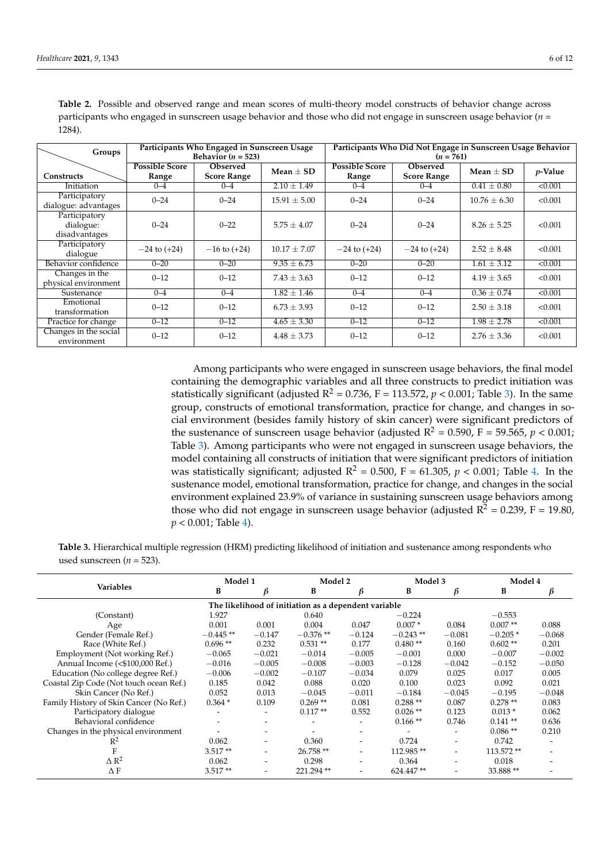| Groups                                      |                       | Participants Who Engaged in Sunscreen Usage<br>Behavior $(n = 523)$ |                  |                       | Participants Who Did Not Engage in Sunscreen Usage Behavior<br>$(n = 761)$ |                  |            |  |
|---------------------------------------------|-----------------------|---------------------------------------------------------------------|------------------|-----------------------|----------------------------------------------------------------------------|------------------|------------|--|
|                                             | <b>Possible Score</b> | <b>Observed</b>                                                     | $Mean + SD$      | <b>Possible Score</b> | <b>Observed</b>                                                            | Mean $\pm$ SD    | $p$ -Value |  |
| <b>Constructs</b>                           | Range                 | <b>Score Range</b>                                                  |                  | Range                 | <b>Score Range</b>                                                         |                  |            |  |
| Initiation                                  | $0 - 4$               | $0 - 4$                                                             | $2.10 \pm 1.49$  | $0 - 4$               | $0 - 4$                                                                    | $0.41 \pm 0.80$  | < 0.001    |  |
| Participatory<br>dialogue: advantages       | $0 - 24$              | $0 - 24$                                                            | $15.91 \pm 5.00$ | $0 - 24$              | $0 - 24$                                                                   | $10.76 \pm 6.30$ | < 0.001    |  |
| Participatory<br>dialogue:<br>disadvantages | $0 - 24$              | $0 - 22$                                                            | $5.75 \pm 4.07$  | $0 - 24$              | $0 - 24$                                                                   | $8.26 \pm 5.25$  | < 0.001    |  |
| Participatory<br>dialogue                   | $-24$ to $(+24)$      | $-16$ to $(+24)$                                                    | $10.17 \pm 7.07$ | $-24$ to $(+24)$      | $-24$ to $(+24)$                                                           | $2.52 \pm 8.48$  | < 0.001    |  |
| Behavior confidence                         | $0 - 20$              | $0 - 20$                                                            | $9.35 \pm 6.73$  | $0 - 20$              | $0 - 20$                                                                   | $1.61 \pm 3.12$  | < 0.001    |  |
| Changes in the<br>physical environment      | $0 - 12$              | $0 - 12$                                                            | $7.43 \pm 3.63$  | $0 - 12$              | $0 - 12$                                                                   | $4.19 \pm 3.65$  | < 0.001    |  |
| Sustenance                                  | $0 - 4$               | $0 - 4$                                                             | $1.82 \pm 1.46$  | $0 - 4$               | $0 - 4$                                                                    | $0.36 \pm 0.74$  | < 0.001    |  |
| Emotional<br>transformation                 | $0 - 12$              | $0 - 12$                                                            | $6.73 + 3.93$    | $0 - 12$              | $0 - 12$                                                                   | $2.50 \pm 3.18$  | < 0.001    |  |
| Practice for change                         | $0 - 12$              | $0 - 12$                                                            | $4.65 \pm 3.30$  | $0 - 12$              | $0 - 12$                                                                   | $1.98 \pm 2.78$  | < 0.001    |  |
| Changes in the social<br>environment        | $0 - 12$              | $0 - 12$                                                            | $4.48 \pm 3.73$  | $0 - 12$              | $0 - 12$                                                                   | $2.76 \pm 3.36$  | < 0.001    |  |

<span id="page-7-0"></span>**Table 2.** Possible and observed range and mean scores of multi-theory model constructs of behavior change across participants who engaged in sunscreen usage behavior and those who did not engage in sunscreen usage behavior (*n* = 1284).

> Among participants who were engaged in sunscreen usage behaviors, the final model containing the demographic variables and all three constructs to predict initiation was statistically significant (adjusted  $R^2 = 0.736$ , F = 113.572,  $p < 0.001$ ; Table [3\)](#page-8-0). In the same group, constructs of emotional transformation, practice for change, and changes in social environment (besides family history of skin cancer) were significant predictors of the sustenance of sunscreen usage behavior (adjusted  $R^2 = 0.590$ ,  $F = 59.565$ ,  $p < 0.001$ ; Table [3\)](#page-8-0). Among participants who were not engaged in sunscreen usage behaviors, the model containing all constructs of initiation that were significant predictors of initiation was statistically significant; adjusted  $R^2 = 0.500$ ,  $F = 61.305$ ,  $p < 0.001$ ; Table [4.](#page-8-1) In the sustenance model, emotional transformation, practice for change, and changes in the social environment explained 23.9% of variance in sustaining sunscreen usage behaviors among those who did not engage in sunscreen usage behavior (adjusted  $\overline{R}^2 = 0.239$ , F = 19.80, *p* < 0.001; Table [4\)](#page-8-1).

**Table 3.** Hierarchical multiple regression (HRM) predicting likelihood of initiation and sustenance among respondents who used sunscreen ( $n = 523$ ).

|                                         | Model 1                                              |          | Model 2                  |                          | Model 3    |                              | Model 4   |          |
|-----------------------------------------|------------------------------------------------------|----------|--------------------------|--------------------------|------------|------------------------------|-----------|----------|
| <b>Variables</b>                        | B                                                    | ß        | B                        | ß                        | B          | β                            | B         | β        |
|                                         | The likelihood of initiation as a dependent variable |          |                          |                          |            |                              |           |          |
| (Constant)                              | 1.927                                                |          | 0.640                    |                          | $-0.224$   |                              | $-0.553$  |          |
| Age                                     | 0.001                                                | 0.001    | 0.004                    | 0.047                    | $0.007*$   | 0.084                        | $0.007**$ | 0.088    |
| Gender (Female Ref.)                    | $-0.445**$                                           | $-0.147$ | $-0.376**$               | $-0.124$                 | $-0.243**$ | $-0.081$                     | $-0.205*$ | $-0.068$ |
| Race (White Ref.)                       | $0.696**$                                            | 0.232    | $0.531**$                | 0.177                    | $0.480**$  | 0.160                        | $0.602**$ | 0.201    |
| Employment (Not working Ref.)           | $-0.065$                                             | $-0.021$ | $-0.014$                 | $-0.005$                 | $-0.001$   | 0.000                        | $-0.007$  | $-0.002$ |
| Annual Income (<\$100,000 Ref.)         | $-0.016$                                             | $-0.005$ | $-0.008$                 | $-0.003$                 | $-0.128$   | $-0.042$                     | $-0.152$  | $-0.050$ |
| Education (No college degree Ref.)      | $-0.006$                                             | $-0.002$ | $-0.107$                 | $-0.034$                 | 0.079      | 0.025                        | 0.017     | 0.005    |
| Coastal Zip Code (Not touch ocean Ref.) | 0.185                                                | 0.042    | 0.088                    | 0.020                    | 0.100      | 0.023                        | 0.092     | 0.021    |
| Skin Cancer (No Ref.)                   | 0.052                                                | 0.013    | $-0.045$                 | $-0.011$                 | $-0.184$   | $-0.045$                     | $-0.195$  | $-0.048$ |
| Family History of Skin Cancer (No Ref.) | $0.364*$                                             | 0.109    | $0.269**$                | 0.081                    | $0.288**$  | 0.087                        | $0.278**$ | 0.083    |
| Participatory dialogue                  |                                                      |          | $0.117**$                | 0.552                    | $0.026$ ** | 0.123                        | $0.013*$  | 0.062    |
| Behavioral confidence                   |                                                      |          | $\overline{\phantom{0}}$ | ٠                        | $0.166**$  | 0.746                        | $0.141**$ | 0.636    |
| Changes in the physical environment     |                                                      |          |                          |                          |            | ٠                            | $0.086**$ | 0.210    |
| $\mathbb{R}^2$                          | 0.062                                                |          | 0.360                    | ۰                        | 0.724      | $\qquad \qquad \blacksquare$ | 0.742     |          |
|                                         | $3.517**$                                            |          | $26.758**$               | $\overline{\phantom{0}}$ | 112.985**  | -                            | 113.572** |          |
| $\Delta$ R <sup>2</sup>                 | 0.062                                                |          | 0.298                    |                          | 0.364      | ٠                            | 0.018     |          |
| ΔF                                      | $3.517**$                                            |          | 221.294**                |                          | 624.447**  | ۰                            | 33.888**  |          |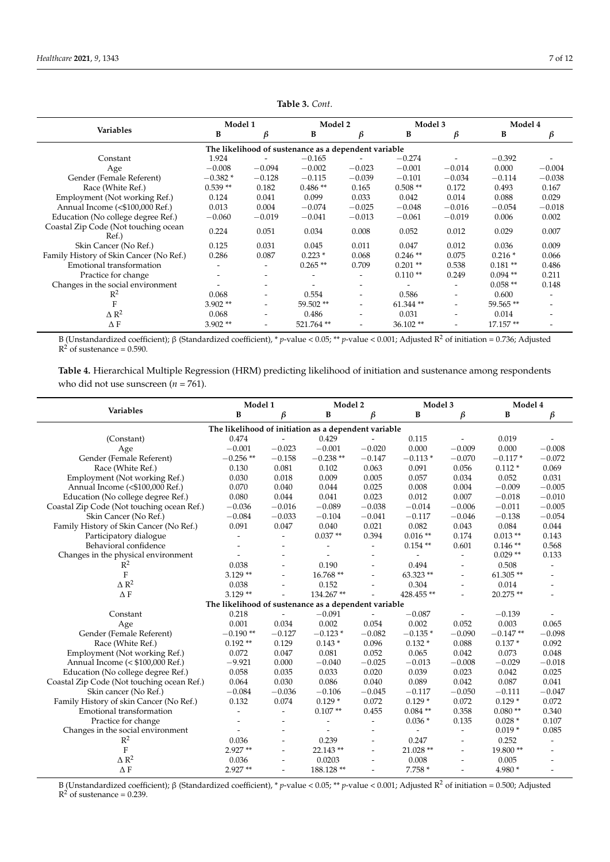<span id="page-8-0"></span>

|                                               | Model 1   |                          | Model 2                                              |                          | Model 3    |          | Model 4    |          |
|-----------------------------------------------|-----------|--------------------------|------------------------------------------------------|--------------------------|------------|----------|------------|----------|
| <b>Variables</b>                              | B         | ß                        | B                                                    | β                        | B          | β        | B          | β        |
|                                               |           |                          | The likelihood of sustenance as a dependent variable |                          |            |          |            |          |
| Constant                                      | 1.924     |                          | $-0.165$                                             |                          | $-0.274$   |          | $-0.392$   |          |
| Age                                           | $-0.008$  | $-0.094$                 | $-0.002$                                             | $-0.023$                 | $-0.001$   | $-0.014$ | 0.000      | $-0.004$ |
| Gender (Female Referent)                      | $-0.382*$ | $-0.128$                 | $-0.115$                                             | $-0.039$                 | $-0.101$   | $-0.034$ | $-0.114$   | $-0.038$ |
| Race (White Ref.)                             | $0.539**$ | 0.182                    | $0.486**$                                            | 0.165                    | $0.508**$  | 0.172    | 0.493      | 0.167    |
| Employment (Not working Ref.)                 | 0.124     | 0.041                    | 0.099                                                | 0.033                    | 0.042      | 0.014    | 0.088      | 0.029    |
| Annual Income (<\$100,000 Ref.)               | 0.013     | 0.004                    | $-0.074$                                             | $-0.025$                 | $-0.048$   | $-0.016$ | $-0.054$   | $-0.018$ |
| Education (No college degree Ref.)            | $-0.060$  | $-0.019$                 | $-0.041$                                             | $-0.013$                 | $-0.061$   | $-0.019$ | 0.006      | 0.002    |
| Coastal Zip Code (Not touching ocean<br>Ref.) | 0.224     | 0.051                    | 0.034                                                | 0.008                    | 0.052      | 0.012    | 0.029      | 0.007    |
| Skin Cancer (No Ref.)                         | 0.125     | 0.031                    | 0.045                                                | 0.011                    | 0.047      | 0.012    | 0.036      | 0.009    |
| Family History of Skin Cancer (No Ref.)       | 0.286     | 0.087                    | $0.223*$                                             | 0.068                    | $0.246**$  | 0.075    | $0.216*$   | 0.066    |
| Emotional transformation                      |           |                          | $0.265**$                                            | 0.709                    | $0.201**$  | 0.538    | $0.181**$  | 0.486    |
| Practice for change                           |           | $\overline{\phantom{0}}$ |                                                      | $\overline{\phantom{a}}$ | $0.110**$  | 0.249    | $0.094$ ** | 0.211    |
| Changes in the social environment             |           |                          |                                                      |                          |            | ۰        | $0.058**$  | 0.148    |
| $R^2$                                         | 0.068     |                          | 0.554                                                | $\overline{\phantom{a}}$ | 0.586      | ۰        | 0.600      |          |
| F                                             | $3.902**$ |                          | 59.502 **                                            |                          | $61.344**$ |          | 59.565**   |          |
| $\triangle R^2$                               | 0.068     |                          | 0.486                                                |                          | 0.031      | ۰        | 0.014      |          |
| ΔF                                            | $3.902**$ |                          | 521.764**                                            |                          | $36.102**$ |          | 17.157**   |          |

**Table 3.** *Cont*.

B (Unstandardized coefficient); β (Standardized coefficient), \* *p*-value < 0.05; \*\* *p*-value < 0.001; Adjusted R<sup>2</sup> of initiation = 0.736; Adjusted  $R<sup>2</sup>$  of sustenance = 0.590.

<span id="page-8-1"></span>**Table 4.** Hierarchical Multiple Regression (HRM) predicting likelihood of initiation and sustenance among respondents who did not use sunscreen ( $n = 761$ ).

| Variables<br>B<br>β<br>B<br>$\beta$<br>В<br>$\beta$<br>B<br>β<br>The likelihood of initiation as a dependent variable<br>0.429<br>0.115<br>0.019<br>(Constant)<br>0.474<br>$-0.001$<br>0.000<br>0.000<br>$-0.023$<br>$-0.001$<br>$-0.020$<br>$-0.009$<br>$-0.008$<br>Age<br>$-0.256**$<br>$-0.238**$<br>Gender (Female Referent)<br>$-0.158$<br>$-0.147$<br>$-0.113*$<br>$-0.070$<br>$-0.117*$<br>$-0.072$<br>0.081<br>0.091<br>0.056<br>0.069<br>Race (White Ref.)<br>0.130<br>0.102<br>0.063<br>$0.112*$ |  |  |  |  |  |
|------------------------------------------------------------------------------------------------------------------------------------------------------------------------------------------------------------------------------------------------------------------------------------------------------------------------------------------------------------------------------------------------------------------------------------------------------------------------------------------------------------|--|--|--|--|--|
|                                                                                                                                                                                                                                                                                                                                                                                                                                                                                                            |  |  |  |  |  |
|                                                                                                                                                                                                                                                                                                                                                                                                                                                                                                            |  |  |  |  |  |
|                                                                                                                                                                                                                                                                                                                                                                                                                                                                                                            |  |  |  |  |  |
|                                                                                                                                                                                                                                                                                                                                                                                                                                                                                                            |  |  |  |  |  |
|                                                                                                                                                                                                                                                                                                                                                                                                                                                                                                            |  |  |  |  |  |
|                                                                                                                                                                                                                                                                                                                                                                                                                                                                                                            |  |  |  |  |  |
| Employment (Not working Ref.)<br>0.030<br>0.018<br>0.009<br>0.005<br>0.057<br>0.034<br>0.052<br>0.031                                                                                                                                                                                                                                                                                                                                                                                                      |  |  |  |  |  |
| Annual Income (<\$100,000 Ref.)<br>0.070<br>0.040<br>0.025<br>0.008<br>0.004<br>$-0.009$<br>$-0.005$<br>0.044                                                                                                                                                                                                                                                                                                                                                                                              |  |  |  |  |  |
| Education (No college degree Ref.)<br>0.080<br>0.044<br>0.041<br>0.023<br>0.012<br>0.007<br>$-0.018$<br>$-0.010$                                                                                                                                                                                                                                                                                                                                                                                           |  |  |  |  |  |
| Coastal Zip Code (Not touching ocean Ref.)<br>$-0.036$<br>$-0.016$<br>$-0.089$<br>$-0.038$<br>$-0.014$<br>$-0.006$<br>$-0.011$<br>$-0.005$                                                                                                                                                                                                                                                                                                                                                                 |  |  |  |  |  |
| Skin Cancer (No Ref.)<br>$-0.084$<br>$-0.033$<br>$-0.041$<br>$-0.138$<br>$-0.054$<br>$-0.104$<br>$-0.117$<br>$-0.046$                                                                                                                                                                                                                                                                                                                                                                                      |  |  |  |  |  |
| 0.091<br>0.047<br>0.040<br>0.084<br>0.044<br>Family History of Skin Cancer (No Ref.)<br>0.021<br>0.082<br>0.043                                                                                                                                                                                                                                                                                                                                                                                            |  |  |  |  |  |
| $0.037**$<br>$0.013**$<br>Participatory dialogue<br>0.394<br>$0.016**$<br>0.174<br>0.143                                                                                                                                                                                                                                                                                                                                                                                                                   |  |  |  |  |  |
| Behavioral confidence<br>$0.146**$<br>0.568<br>$0.154**$<br>0.601                                                                                                                                                                                                                                                                                                                                                                                                                                          |  |  |  |  |  |
| $0.029**$<br>0.133<br>Changes in the physical environment<br>$\overline{\phantom{a}}$                                                                                                                                                                                                                                                                                                                                                                                                                      |  |  |  |  |  |
| $R^2$<br>0.038<br>0.190<br>0.494<br>0.508<br>$\overline{a}$                                                                                                                                                                                                                                                                                                                                                                                                                                                |  |  |  |  |  |
| $\mathbf{F}$<br>$3.129**$<br>16.768**<br>63.323**<br>61.305**<br>$\overline{a}$                                                                                                                                                                                                                                                                                                                                                                                                                            |  |  |  |  |  |
| $\Delta$ $\rm R^2$<br>0.038<br>0.304<br>0.152<br>0.014<br>$\overline{\phantom{a}}$                                                                                                                                                                                                                                                                                                                                                                                                                         |  |  |  |  |  |
| $\Delta$ F<br>$3.129**$<br>134.267**<br>428.455**<br>20.275**                                                                                                                                                                                                                                                                                                                                                                                                                                              |  |  |  |  |  |
| The likelihood of sustenance as a dependent variable                                                                                                                                                                                                                                                                                                                                                                                                                                                       |  |  |  |  |  |
| 0.218<br>$-0.091$<br>$-0.087$<br>Constant<br>$-0.139$                                                                                                                                                                                                                                                                                                                                                                                                                                                      |  |  |  |  |  |
| 0.001<br>0.002<br>0.002<br>0.003<br>0.034<br>0.054<br>0.052<br>0.065<br>Age                                                                                                                                                                                                                                                                                                                                                                                                                                |  |  |  |  |  |
| Gender (Female Referent)<br>$-0.190**$<br>$-0.123*$<br>$-0.147**$<br>$-0.127$<br>$-0.082$<br>$-0.135*$<br>$-0.090$<br>$-0.098$                                                                                                                                                                                                                                                                                                                                                                             |  |  |  |  |  |
| $0.192**$<br>0.096<br>$0.137*$<br>0.092<br>Race (White Ref.)<br>0.129<br>$0.143*$<br>$0.132*$<br>0.088                                                                                                                                                                                                                                                                                                                                                                                                     |  |  |  |  |  |
| Employment (Not working Ref.)<br>0.072<br>0.047<br>0.081<br>0.052<br>0.065<br>0.042<br>0.073<br>0.048                                                                                                                                                                                                                                                                                                                                                                                                      |  |  |  |  |  |
| 0.000<br>$-0.025$<br>$-0.029$<br>Annual Income (< \$100,000 Ref.)<br>$-9.921$<br>$-0.040$<br>$-0.013$<br>$-0.008$<br>$-0.018$                                                                                                                                                                                                                                                                                                                                                                              |  |  |  |  |  |
| 0.058<br>0.035<br>0.020<br>0.025<br>Education (No college degree Ref.)<br>0.033<br>0.039<br>0.023<br>0.042                                                                                                                                                                                                                                                                                                                                                                                                 |  |  |  |  |  |
| Coastal Zip Code (Not touching ocean Ref.)<br>0.064<br>0.030<br>0.086<br>0.040<br>0.089<br>0.042<br>0.087<br>0.041                                                                                                                                                                                                                                                                                                                                                                                         |  |  |  |  |  |
| $-0.084$<br>$-0.036$<br>$-0.045$<br>$-0.050$<br>$-0.111$<br>$-0.047$<br>Skin cancer (No Ref.)<br>$-0.106$<br>$-0.117$                                                                                                                                                                                                                                                                                                                                                                                      |  |  |  |  |  |
| 0.132<br>0.074<br>$0.129*$<br>0.072<br>$0.129*$<br>0.072<br>$0.129*$<br>0.072<br>Family History of skin Cancer (No Ref.)                                                                                                                                                                                                                                                                                                                                                                                   |  |  |  |  |  |
| Emotional transformation<br>$0.107**$<br>0.455<br>$0.084**$<br>0.358<br>$0.080**$<br>0.340                                                                                                                                                                                                                                                                                                                                                                                                                 |  |  |  |  |  |
| 0.107<br>Practice for change<br>$0.036*$<br>0.135<br>$0.028*$<br>$\overline{\phantom{a}}$                                                                                                                                                                                                                                                                                                                                                                                                                  |  |  |  |  |  |
| $0.019*$<br>0.085<br>Changes in the social environment<br>$\overline{\phantom{a}}$<br>$\overline{\phantom{a}}$                                                                                                                                                                                                                                                                                                                                                                                             |  |  |  |  |  |
| $\mathbb{R}^2$<br>0.036<br>0.247<br>0.239<br>0.252<br>$\overline{\phantom{a}}$<br>$\overline{\phantom{a}}$                                                                                                                                                                                                                                                                                                                                                                                                 |  |  |  |  |  |
| $\overline{F}$<br>$2.927**$<br>21.028 **<br>19.800**<br>$22.143**$<br>$\overline{a}$                                                                                                                                                                                                                                                                                                                                                                                                                       |  |  |  |  |  |
| $\Delta$ R <sup>2</sup><br>0.008<br>0.036<br>0.0203<br>0.005<br>$\overline{a}$                                                                                                                                                                                                                                                                                                                                                                                                                             |  |  |  |  |  |
| $\Delta F$<br>$2.927**$<br>4.980 *<br>188.128**<br>$7.758*$<br>$\overline{a}$<br>$\overline{a}$<br>$\overline{a}$                                                                                                                                                                                                                                                                                                                                                                                          |  |  |  |  |  |

B (Unstandardized coefficient); β (Standardized coefficient), \* *p*-value < 0.05; \*\* *p*-value < 0.001; Adjusted R<sup>2</sup> of initiation = 0.500; Adjusted  $R<sup>2</sup>$  of sustenance = 0.239.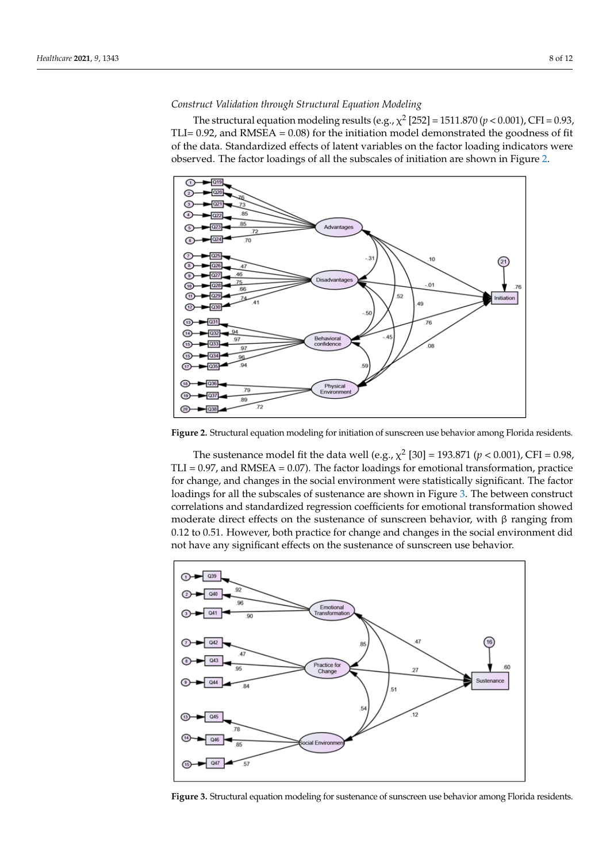#### <span id="page-9-0"></span>*Construct Validation through Structural Equation Modeling*

The structural equation modeling results (e.g.,  $\chi^2$  [252] = 1511.870 ( $p$  < 0.001), CFI = 0.93, TLI=  $0.92$ , and RMSEA =  $0.08$ ) for the initiation model demonstrated the goodness of fit of the data. Standardized effects of latent variables on the factor loading indicators were observed. The factor loadings of all the subscales of initiation are shown in Figure [2.](#page-9-0)



Figure 2. Structural equation modeling for initiation of sunscreen use behavior among Florida residents. dents.

The sustenance model fit the data well (e.g.,  $\chi^2$  [30] = 193.871 ( $p < 0.001$ ), CFI = 0.98,  $TLI = 0.97$ , and RMSEA = 0.07). The factor loadings for emotional transformation, practice for change, and changes in the social environment were statistically significant. The factor loadings for all the subscales of sustenance are shown in Figure [3.](#page-9-1) The between construct correlations and standardized regression coefficients for emotional transformation showed moderate direct effects on the sustenance of sunscreen behavior, with  $\beta$  ranging from 0.12 to 0.51. However, both practice for change and changes in the social environment did not have any significant effects on the sustenance of sunscreen use behavior.

<span id="page-9-1"></span>

proportion of variance in the dependent variables. In our sample, 40.7% of the **Figure 3.** Structural equation modeling for sustenance of sunscreen use behavior among Florida **Figure 3.** Structural equation modeling for sustenance of sunscreen use behavior among Florida residents.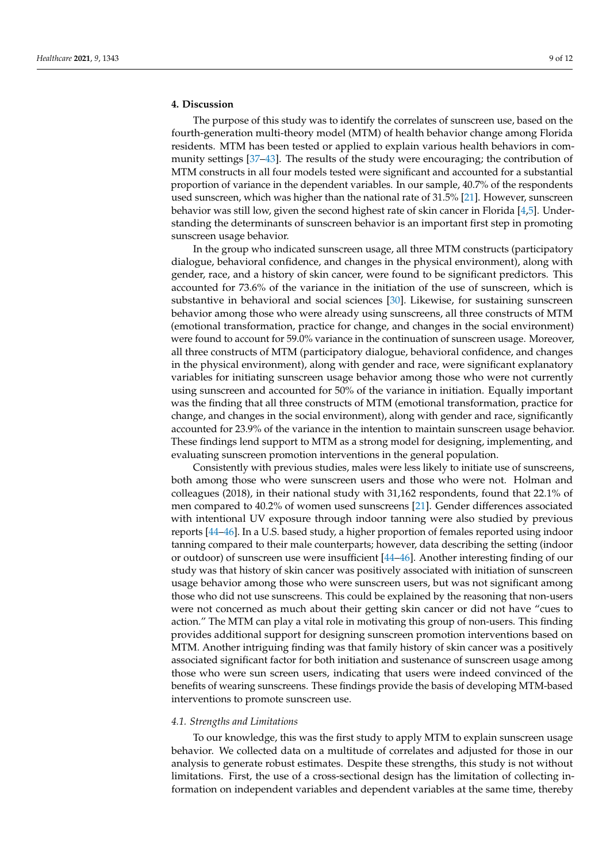#### **4. Discussion**

The purpose of this study was to identify the correlates of sunscreen use, based on the fourth-generation multi-theory model (MTM) of health behavior change among Florida residents. MTM has been tested or applied to explain various health behaviors in community settings [\[37–](#page-13-9)[43\]](#page-13-10). The results of the study were encouraging; the contribution of MTM constructs in all four models tested were significant and accounted for a substantial proportion of variance in the dependent variables. In our sample, 40.7% of the respondents used sunscreen, which was higher than the national rate of 31.5% [\[21\]](#page-12-18). However, sunscreen behavior was still low, given the second highest rate of skin cancer in Florida [\[4](#page-12-8)[,5\]](#page-12-3). Understanding the determinants of sunscreen behavior is an important first step in promoting sunscreen usage behavior.

In the group who indicated sunscreen usage, all three MTM constructs (participatory dialogue, behavioral confidence, and changes in the physical environment), along with gender, race, and a history of skin cancer, were found to be significant predictors. This accounted for 73.6% of the variance in the initiation of the use of sunscreen, which is substantive in behavioral and social sciences [\[30\]](#page-13-3). Likewise, for sustaining sunscreen behavior among those who were already using sunscreens, all three constructs of MTM (emotional transformation, practice for change, and changes in the social environment) were found to account for 59.0% variance in the continuation of sunscreen usage. Moreover, all three constructs of MTM (participatory dialogue, behavioral confidence, and changes in the physical environment), along with gender and race, were significant explanatory variables for initiating sunscreen usage behavior among those who were not currently using sunscreen and accounted for 50% of the variance in initiation. Equally important was the finding that all three constructs of MTM (emotional transformation, practice for change, and changes in the social environment), along with gender and race, significantly accounted for 23.9% of the variance in the intention to maintain sunscreen usage behavior. These findings lend support to MTM as a strong model for designing, implementing, and evaluating sunscreen promotion interventions in the general population.

Consistently with previous studies, males were less likely to initiate use of sunscreens, both among those who were sunscreen users and those who were not. Holman and colleagues (2018), in their national study with 31,162 respondents, found that 22.1% of men compared to 40.2% of women used sunscreens [\[21\]](#page-12-18). Gender differences associated with intentional UV exposure through indoor tanning were also studied by previous reports [\[44](#page-13-11)[–46\]](#page-13-12). In a U.S. based study, a higher proportion of females reported using indoor tanning compared to their male counterparts; however, data describing the setting (indoor or outdoor) of sunscreen use were insufficient [\[44](#page-13-11)[–46\]](#page-13-12). Another interesting finding of our study was that history of skin cancer was positively associated with initiation of sunscreen usage behavior among those who were sunscreen users, but was not significant among those who did not use sunscreens. This could be explained by the reasoning that non-users were not concerned as much about their getting skin cancer or did not have "cues to action." The MTM can play a vital role in motivating this group of non-users. This finding provides additional support for designing sunscreen promotion interventions based on MTM. Another intriguing finding was that family history of skin cancer was a positively associated significant factor for both initiation and sustenance of sunscreen usage among those who were sun screen users, indicating that users were indeed convinced of the benefits of wearing sunscreens. These findings provide the basis of developing MTM-based interventions to promote sunscreen use.

#### *4.1. Strengths and Limitations*

To our knowledge, this was the first study to apply MTM to explain sunscreen usage behavior. We collected data on a multitude of correlates and adjusted for those in our analysis to generate robust estimates. Despite these strengths, this study is not without limitations. First, the use of a cross-sectional design has the limitation of collecting information on independent variables and dependent variables at the same time, thereby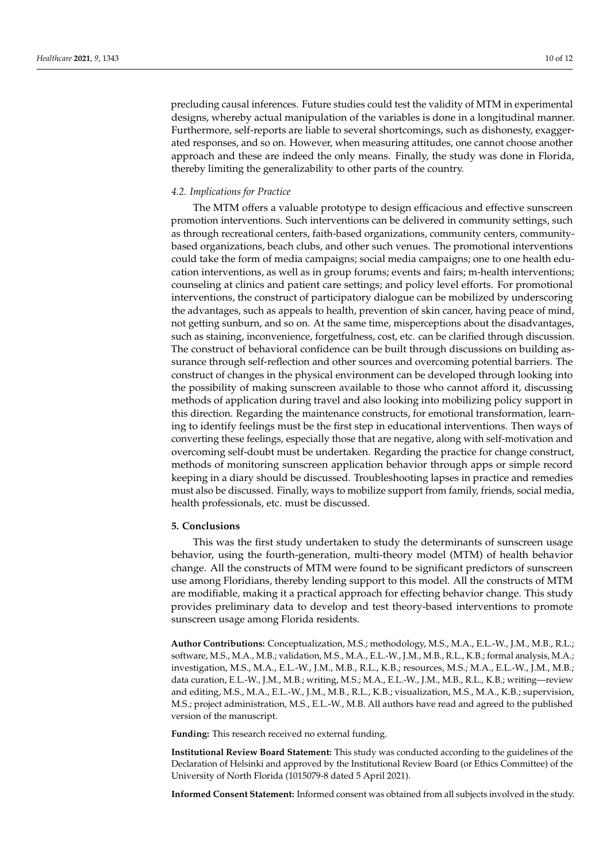precluding causal inferences. Future studies could test the validity of MTM in experimental designs, whereby actual manipulation of the variables is done in a longitudinal manner. Furthermore, self-reports are liable to several shortcomings, such as dishonesty, exaggerated responses, and so on. However, when measuring attitudes, one cannot choose another approach and these are indeed the only means. Finally, the study was done in Florida, thereby limiting the generalizability to other parts of the country.

#### *4.2. Implications for Practice*

The MTM offers a valuable prototype to design efficacious and effective sunscreen promotion interventions. Such interventions can be delivered in community settings, such as through recreational centers, faith-based organizations, community centers, communitybased organizations, beach clubs, and other such venues. The promotional interventions could take the form of media campaigns; social media campaigns; one to one health education interventions, as well as in group forums; events and fairs; m-health interventions; counseling at clinics and patient care settings; and policy level efforts. For promotional interventions, the construct of participatory dialogue can be mobilized by underscoring the advantages, such as appeals to health, prevention of skin cancer, having peace of mind, not getting sunburn, and so on. At the same time, misperceptions about the disadvantages, such as staining, inconvenience, forgetfulness, cost, etc. can be clarified through discussion. The construct of behavioral confidence can be built through discussions on building assurance through self-reflection and other sources and overcoming potential barriers. The construct of changes in the physical environment can be developed through looking into the possibility of making sunscreen available to those who cannot afford it, discussing methods of application during travel and also looking into mobilizing policy support in this direction. Regarding the maintenance constructs, for emotional transformation, learning to identify feelings must be the first step in educational interventions. Then ways of converting these feelings, especially those that are negative, along with self-motivation and overcoming self-doubt must be undertaken. Regarding the practice for change construct, methods of monitoring sunscreen application behavior through apps or simple record keeping in a diary should be discussed. Troubleshooting lapses in practice and remedies must also be discussed. Finally, ways to mobilize support from family, friends, social media, health professionals, etc. must be discussed.

#### **5. Conclusions**

This was the first study undertaken to study the determinants of sunscreen usage behavior, using the fourth-generation, multi-theory model (MTM) of health behavior change. All the constructs of MTM were found to be significant predictors of sunscreen use among Floridians, thereby lending support to this model. All the constructs of MTM are modifiable, making it a practical approach for effecting behavior change. This study provides preliminary data to develop and test theory-based interventions to promote sunscreen usage among Florida residents.

**Author Contributions:** Conceptualization, M.S.; methodology, M.S., M.A., E.L.-W., J.M., M.B., R.L.; software, M.S., M.A., M.B.; validation, M.S., M.A., E.L.-W., J.M., M.B., R.L., K.B.; formal analysis, M.A.; investigation, M.S., M.A., E.L.-W., J.M., M.B., R.L., K.B.; resources, M.S.; M.A., E.L.-W., J.M., M.B.; data curation, E.L.-W., J.M., M.B.; writing, M.S.; M.A., E.L.-W., J.M., M.B., R.L., K.B.; writing—review and editing, M.S., M.A., E.L.-W., J.M., M.B., R.L., K.B.; visualization, M.S., M.A., K.B.; supervision, M.S.; project administration, M.S., E.L.-W., M.B. All authors have read and agreed to the published version of the manuscript.

**Funding:** This research received no external funding.

**Institutional Review Board Statement:** This study was conducted according to the guidelines of the Declaration of Helsinki and approved by the Institutional Review Board (or Ethics Committee) of the University of North Florida (1015079-8 dated 5 April 2021).

**Informed Consent Statement:** Informed consent was obtained from all subjects involved in the study.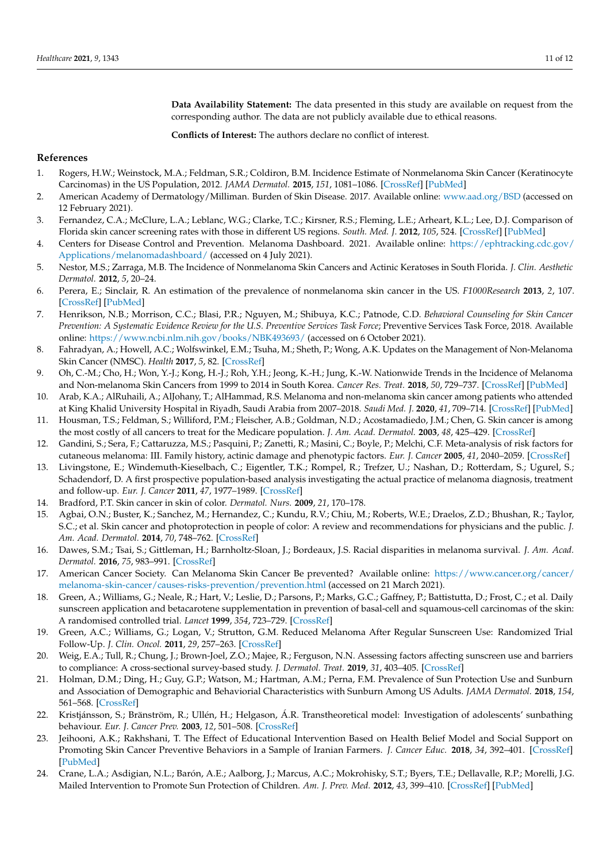**Data Availability Statement:** The data presented in this study are available on request from the corresponding author. The data are not publicly available due to ethical reasons.

**Conflicts of Interest:** The authors declare no conflict of interest.

#### **References**

- <span id="page-12-0"></span>1. Rogers, H.W.; Weinstock, M.A.; Feldman, S.R.; Coldiron, B.M. Incidence Estimate of Nonmelanoma Skin Cancer (Keratinocyte Carcinomas) in the US Population, 2012. *JAMA Dermatol.* **2015**, *151*, 1081–1086. [\[CrossRef\]](http://doi.org/10.1001/jamadermatol.2015.1187) [\[PubMed\]](http://www.ncbi.nlm.nih.gov/pubmed/25928283)
- <span id="page-12-1"></span>2. American Academy of Dermatology/Milliman. Burden of Skin Disease. 2017. Available online: <www.aad.org/BSD> (accessed on 12 February 2021).
- <span id="page-12-2"></span>3. Fernandez, C.A.; McClure, L.A.; Leblanc, W.G.; Clarke, T.C.; Kirsner, R.S.; Fleming, L.E.; Arheart, K.L.; Lee, D.J. Comparison of Florida skin cancer screening rates with those in different US regions. *South. Med. J.* **2012**, *105*, 524. [\[CrossRef\]](http://doi.org/10.1097/SMJ.0b013e318268cf63) [\[PubMed\]](http://www.ncbi.nlm.nih.gov/pubmed/23038483)
- <span id="page-12-8"></span>4. Centers for Disease Control and Prevention. Melanoma Dashboard. 2021. Available online: [https://ephtracking.cdc.gov/](https://ephtracking.cdc.gov/Applications/melanomadashboard/) [Applications/melanomadashboard/](https://ephtracking.cdc.gov/Applications/melanomadashboard/) (accessed on 4 July 2021).
- <span id="page-12-3"></span>5. Nestor, M.S.; Zarraga, M.B. The Incidence of Nonmelanoma Skin Cancers and Actinic Keratoses in South Florida. *J. Clin. Aesthetic Dermatol.* **2012**, *5*, 20–24.
- <span id="page-12-4"></span>6. Perera, E.; Sinclair, R. An estimation of the prevalence of nonmelanoma skin cancer in the US. *F1000Research* **2013**, *2*, 107. [\[CrossRef\]](http://doi.org/10.12688/f1000research.2-107.v1) [\[PubMed\]](http://www.ncbi.nlm.nih.gov/pubmed/24358841)
- <span id="page-12-5"></span>7. Henrikson, N.B.; Morrison, C.C.; Blasi, P.R.; Nguyen, M.; Shibuya, K.C.; Patnode, C.D. *Behavioral Counseling for Skin Cancer Prevention: A Systematic Evidence Review for the U.S. Preventive Services Task Force*; Preventive Services Task Force, 2018. Available online: <https://www.ncbi.nlm.nih.gov/books/NBK493693/> (accessed on 6 October 2021).
- 8. Fahradyan, A.; Howell, A.C.; Wolfswinkel, E.M.; Tsuha, M.; Sheth, P.; Wong, A.K. Updates on the Management of Non-Melanoma Skin Cancer (NMSC). *Health* **2017**, *5*, 82. [\[CrossRef\]](http://doi.org/10.3390/healthcare5040082)
- 9. Oh, C.-M.; Cho, H.; Won, Y.-J.; Kong, H.-J.; Roh, Y.H.; Jeong, K.-H.; Jung, K.-W. Nationwide Trends in the Incidence of Melanoma and Non-melanoma Skin Cancers from 1999 to 2014 in South Korea. *Cancer Res. Treat.* **2018**, *50*, 729–737. [\[CrossRef\]](http://doi.org/10.4143/crt.2017.166) [\[PubMed\]](http://www.ncbi.nlm.nih.gov/pubmed/28707459)
- <span id="page-12-6"></span>10. Arab, K.A.; AlRuhaili, A.; AlJohany, T.; AlHammad, R.S. Melanoma and non-melanoma skin cancer among patients who attended at King Khalid University Hospital in Riyadh, Saudi Arabia from 2007–2018. *Saudi Med. J.* **2020**, *41*, 709–714. [\[CrossRef\]](http://doi.org/10.15537/smj.2020.7.25138) [\[PubMed\]](http://www.ncbi.nlm.nih.gov/pubmed/32601638)
- <span id="page-12-7"></span>11. Housman, T.S.; Feldman, S.; Williford, P.M.; Fleischer, A.B.; Goldman, N.D.; Acostamadiedo, J.M.; Chen, G. Skin cancer is among the most costly of all cancers to treat for the Medicare population. *J. Am. Acad. Dermatol.* **2003**, *48*, 425–429. [\[CrossRef\]](http://doi.org/10.1067/mjd.2003.186)
- <span id="page-12-9"></span>12. Gandini, S.; Sera, F.; Cattaruzza, M.S.; Pasquini, P.; Zanetti, R.; Masini, C.; Boyle, P.; Melchi, C.F. Meta-analysis of risk factors for cutaneous melanoma: III. Family history, actinic damage and phenotypic factors. *Eur. J. Cancer* **2005**, *41*, 2040–2059. [\[CrossRef\]](http://doi.org/10.1016/j.ejca.2005.03.034)
- <span id="page-12-10"></span>13. Livingstone, E.; Windemuth-Kieselbach, C.; Eigentler, T.K.; Rompel, R.; Trefzer, U.; Nashan, D.; Rotterdam, S.; Ugurel, S.; Schadendorf, D. A first prospective population-based analysis investigating the actual practice of melanoma diagnosis, treatment and follow-up. *Eur. J. Cancer* **2011**, *47*, 1977–1989. [\[CrossRef\]](http://doi.org/10.1016/j.ejca.2011.04.029)
- <span id="page-12-11"></span>14. Bradford, P.T. Skin cancer in skin of color. *Dermatol. Nurs.* **2009**, *21*, 170–178.
- <span id="page-12-12"></span>15. Agbai, O.N.; Buster, K.; Sanchez, M.; Hernandez, C.; Kundu, R.V.; Chiu, M.; Roberts, W.E.; Draelos, Z.D.; Bhushan, R.; Taylor, S.C.; et al. Skin cancer and photoprotection in people of color: A review and recommendations for physicians and the public. *J. Am. Acad. Dermatol.* **2014**, *70*, 748–762. [\[CrossRef\]](http://doi.org/10.1016/j.jaad.2013.11.038)
- <span id="page-12-13"></span>16. Dawes, S.M.; Tsai, S.; Gittleman, H.; Barnholtz-Sloan, J.; Bordeaux, J.S. Racial disparities in melanoma survival. *J. Am. Acad. Dermatol.* **2016**, *75*, 983–991. [\[CrossRef\]](http://doi.org/10.1016/j.jaad.2016.06.006)
- <span id="page-12-14"></span>17. American Cancer Society. Can Melanoma Skin Cancer Be prevented? Available online: [https://www.cancer.org/cancer/](https://www.cancer.org/cancer/melanoma-skin-cancer/causes-risks-prevention/prevention.html) [melanoma-skin-cancer/causes-risks-prevention/prevention.html](https://www.cancer.org/cancer/melanoma-skin-cancer/causes-risks-prevention/prevention.html) (accessed on 21 March 2021).
- <span id="page-12-15"></span>18. Green, A.; Williams, G.; Neale, R.; Hart, V.; Leslie, D.; Parsons, P.; Marks, G.C.; Gaffney, P.; Battistutta, D.; Frost, C.; et al. Daily sunscreen application and betacarotene supplementation in prevention of basal-cell and squamous-cell carcinomas of the skin: A randomised controlled trial. *Lancet* **1999**, *354*, 723–729. [\[CrossRef\]](http://doi.org/10.1016/S0140-6736(98)12168-2)
- <span id="page-12-16"></span>19. Green, A.C.; Williams, G.; Logan, V.; Strutton, G.M. Reduced Melanoma After Regular Sunscreen Use: Randomized Trial Follow-Up. *J. Clin. Oncol.* **2011**, *29*, 257–263. [\[CrossRef\]](http://doi.org/10.1200/JCO.2010.28.7078)
- <span id="page-12-17"></span>20. Weig, E.A.; Tull, R.; Chung, J.; Brown-Joel, Z.O.; Majee, R.; Ferguson, N.N. Assessing factors affecting sunscreen use and barriers to compliance: A cross-sectional survey-based study. *J. Dermatol. Treat.* **2019**, *31*, 403–405. [\[CrossRef\]](http://doi.org/10.1080/09546634.2019.1587147)
- <span id="page-12-18"></span>21. Holman, D.M.; Ding, H.; Guy, G.P.; Watson, M.; Hartman, A.M.; Perna, F.M. Prevalence of Sun Protection Use and Sunburn and Association of Demographic and Behaviorial Characteristics with Sunburn Among US Adults. *JAMA Dermatol.* **2018**, *154*, 561–568. [\[CrossRef\]](http://doi.org/10.1001/jamadermatol.2018.0028)
- <span id="page-12-19"></span>22. Kristjánsson, S.; Bränström, R.; Ullén, H.; Helgason, Á.R. Transtheoretical model: Investigation of adolescents' sunbathing behaviour. *Eur. J. Cancer Prev.* **2003**, *12*, 501–508. [\[CrossRef\]](http://doi.org/10.1097/00008469-200312000-00009)
- 23. Jeihooni, A.K.; Rakhshani, T. The Effect of Educational Intervention Based on Health Belief Model and Social Support on Promoting Skin Cancer Preventive Behaviors in a Sample of Iranian Farmers. *J. Cancer Educ.* **2018**, *34*, 392–401. [\[CrossRef\]](http://doi.org/10.1007/s13187-017-1317-1) [\[PubMed\]](http://www.ncbi.nlm.nih.gov/pubmed/29313300)
- 24. Crane, L.A.; Asdigian, N.L.; Barón, A.E.; Aalborg, J.; Marcus, A.C.; Mokrohisky, S.T.; Byers, T.E.; Dellavalle, R.P.; Morelli, J.G. Mailed Intervention to Promote Sun Protection of Children. *Am. J. Prev. Med.* **2012**, *43*, 399–410. [\[CrossRef\]](http://doi.org/10.1016/j.amepre.2012.06.022) [\[PubMed\]](http://www.ncbi.nlm.nih.gov/pubmed/22992358)